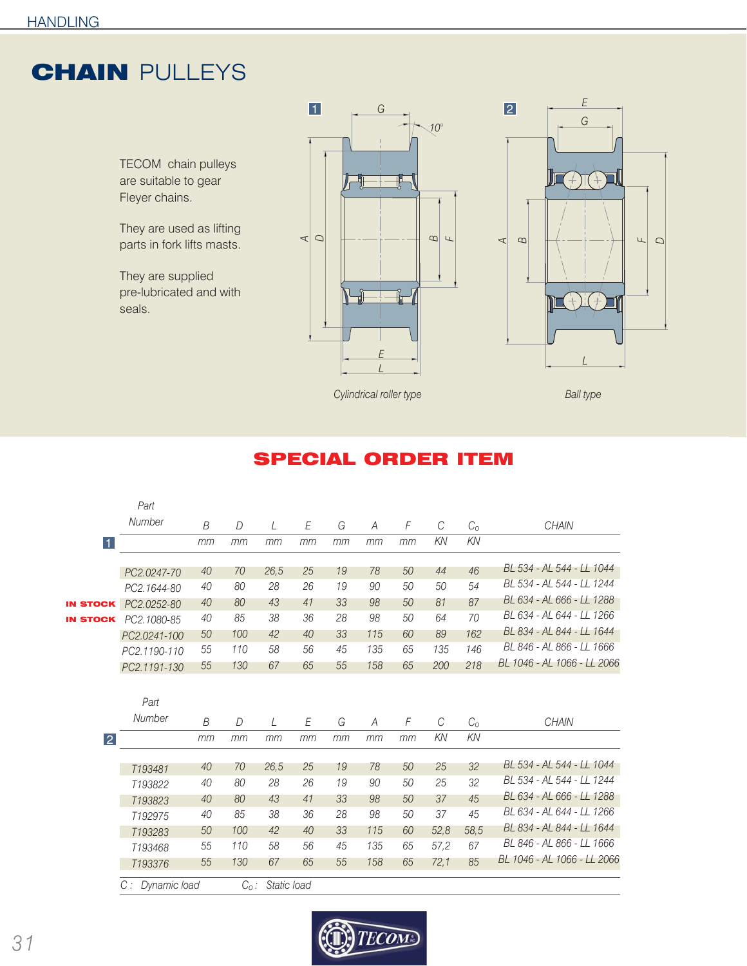## **CHAIN PULLEYS**

TECOM chain pulleys are suitable to gear Fleyer chains.

They are used as lifting parts in fork lifts masts.

They are supplied pre-lubricated and with seals.





**Cylindrical roller type Ball type** Ball type

## SPECIAL ORDER ITEM

|                 | Part                |                |                |      |    |    |     |    |               |             |                             |
|-----------------|---------------------|----------------|----------------|------|----|----|-----|----|---------------|-------------|-----------------------------|
|                 | Number              | $\overline{B}$ | $\overline{D}$ | L    | E  | G  | A   | F  | $\mathcal{C}$ | $C_{\rm O}$ | <b>CHAIN</b>                |
| 11              |                     | mm             | mm             | mm   | mm | mm | mm  | mm | KN            | KN          |                             |
|                 |                     |                |                |      |    |    |     |    |               |             | BL 534 - AL 544 - LL 1044   |
|                 | PC2.0247-70         | 40             | 70             | 26,5 | 25 | 19 | 78  | 50 | 44            | 46          |                             |
|                 | PC2.1644-80         | 40             | 80             | 28   | 26 | 19 | 90  | 50 | 50            | 54          | BL 534 - AL 544 - LL 1244   |
| <b>IN STOCK</b> | PC2.0252-80         | 40             | 80             | 43   | 41 | 33 | 98  | 50 | 81            | 87          | BL 634 - AL 666 - LL 1288   |
| <b>IN STOCK</b> | PC2.1080-85         | 40             | 85             | 38   | 36 | 28 | 98  | 50 | 64            | 70          | BL 634 - AL 644 - LL 1266   |
|                 | PC2.0241-100        | 50             | 100            | 42   | 40 | 33 | 115 | 60 | 89            | 162         | BL 834 - AL 844 - LL 1644   |
|                 | PC2.1190-110        | 55             | 110            | 58   | 56 | 45 | 135 | 65 | 135           | 146         | BL 846 - AL 866 - LL 1666   |
|                 | PC2.1191-130        | 55             | 130            | 67   | 65 | 55 | 158 | 65 | 200           | 218         | BL 1046 - AL 1066 - LL 2066 |
|                 |                     |                |                |      |    |    |     |    |               |             |                             |
|                 |                     |                |                |      |    |    |     |    |               |             |                             |
|                 | Part                |                |                |      |    |    |     |    |               |             |                             |
|                 | Number              | B              | D              | L    | E  | G  | A   | F  | $\mathcal{C}$ | $C_{O}$     | <b>CHAIN</b>                |
| $\overline{2}$  |                     | mm             | mm             | mm   | mm | mm | mm  | mm | KN            | KN          |                             |
|                 |                     |                |                |      |    |    |     |    |               |             |                             |
|                 |                     |                |                |      |    |    |     |    |               |             |                             |
|                 | T193481             | 40             | 70             | 26,5 | 25 | 19 | 78  | 50 | 25            | 32          | BL 534 - AL 544 - LL 1044   |
|                 | T193822             | 40             | 80             | 28   | 26 | 19 | 90  | 50 | 25            | 32          | BL 534 - AL 544 - LL 1244   |
|                 | T193823             | 40             | 80             | 43   | 41 | 33 | 98  | 50 | 37            | 45          | BL 634 - AL 666 - LL 1288   |
|                 | T192975             | 40             | 85             | 38   | 36 | 28 | 98  | 50 | 37            | 45          | BL 634 - AL 644 - LL 1266   |
|                 | T193283             | 50             | 100            | 42   | 40 | 33 | 115 | 60 | 52,8          | 58,5        | BL 834 - AL 844 - LL 1644   |
|                 | T <sub>193468</sub> | 55             | 110            | 58   | 56 | 45 | 135 | 65 | 57.2          | 67          | BL 846 - AL 866 - LL 1666   |
|                 | T193376             | 55             | 130            | 67   | 65 | 55 | 158 | 65 | 72,1          | 85          | BL 1046 - AL 1066 - LL 2066 |